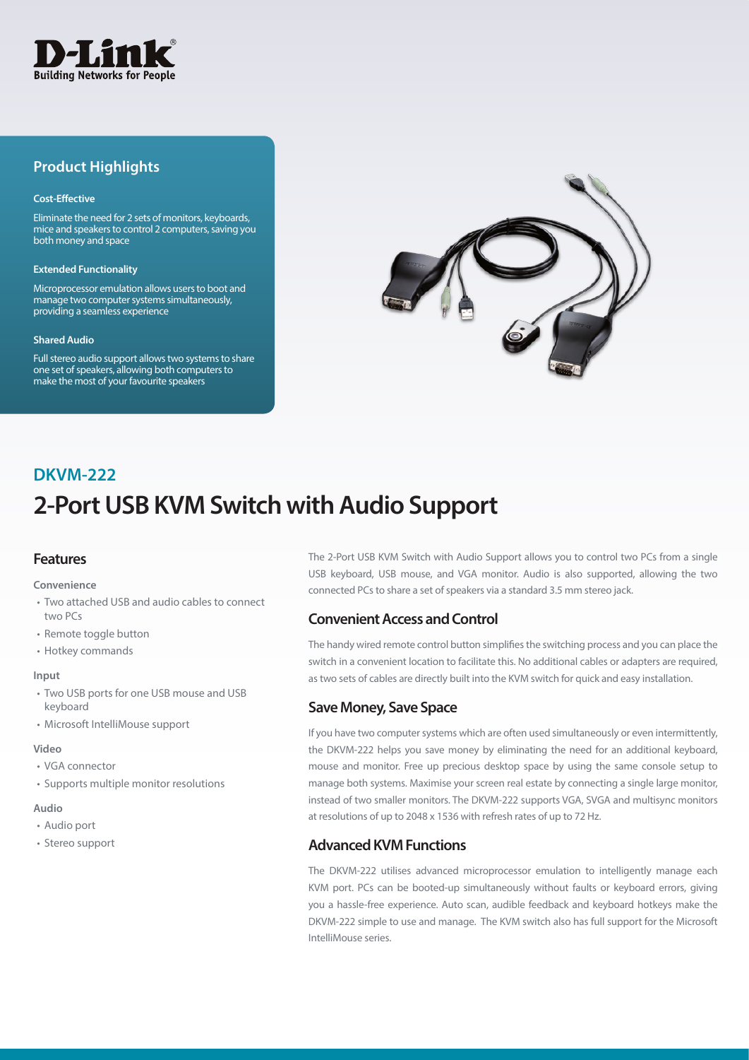

## **Product Highlights**

#### **Cost-Effective**

Eliminate the need for 2 sets of monitors, keyboards, mice and speakers to control 2 computers, saving you both money and space

#### **Extended Functionality**

Microprocessor emulation allows users to boot and manage two computer systems simultaneously, providing a seamless experience

#### **Shared Audio**

Full stereo audio support allows two systems to share one set of speakers, allowing both computers to make the most of your favourite speakers



# **2-Port USB KVM Switch with Audio Support DKVM-222**

## **Features**

#### **Convenience**

- Two attached USB and audio cables to connect two PCs
- Remote toggle button
- Hotkey commands

#### **Input**

- Two USB ports for one USB mouse and USB keyboard
- Microsoft IntelliMouse support

#### **Video**

- VGA connector
- Supports multiple monitor resolutions

#### **Audio**

- Audio port
- Stereo support

The 2-Port USB KVM Switch with Audio Support allows you to control two PCs from a single USB keyboard, USB mouse, and VGA monitor. Audio is also supported, allowing the two connected PCs to share a set of speakers via a standard 3.5 mm stereo jack.

### **Convenient Access and Control**

The handy wired remote control button simplifies the switching process and you can place the switch in a convenient location to facilitate this. No additional cables or adapters are required, as two sets of cables are directly built into the KVM switch for quick and easy installation.

#### **Save Money, Save Space**

If you have two computer systems which are often used simultaneously or even intermittently, the DKVM-222 helps you save money by eliminating the need for an additional keyboard, mouse and monitor. Free up precious desktop space by using the same console setup to manage both systems. Maximise your screen real estate by connecting a single large monitor, instead of two smaller monitors. The DKVM-222 supports VGA, SVGA and multisync monitors at resolutions of up to 2048 x 1536 with refresh rates of up to 72 Hz.

### **Advanced KVM Functions**

The DKVM-222 utilises advanced microprocessor emulation to intelligently manage each KVM port. PCs can be booted-up simultaneously without faults or keyboard errors, giving you a hassle-free experience. Auto scan, audible feedback and keyboard hotkeys make the DKVM-222 simple to use and manage. The KVM switch also has full support for the Microsoft IntelliMouse series.